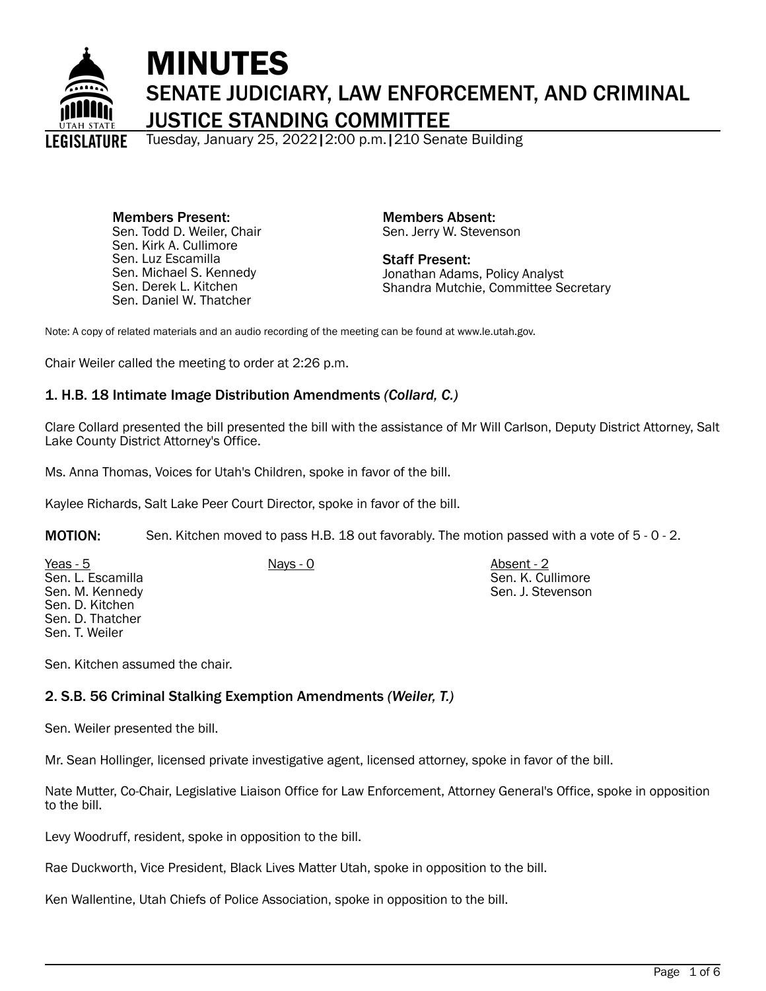

# MINUTES SENATE JUDICIARY, LAW ENFORCEMENT, AND CRIMINAL JUSTICE STANDING COMMITTEE

Tuesday, January 25, 2022|2:00 p.m.|210 Senate Building

Members Present: Sen. Todd D. Weiler, Chair Sen. Kirk A. Cullimore Sen. Luz Escamilla Sen. Michael S. Kennedy Sen. Derek L. Kitchen Sen. Daniel W. Thatcher

Members Absent: Sen. Jerry W. Stevenson

Staff Present: Jonathan Adams, Policy Analyst Shandra Mutchie, Committee Secretary

> Sen. K. Cullimore Sen. J. Stevenson

Note: A copy of related materials and an audio recording of the meeting can be found at www.le.utah.gov.

Chair Weiler called the meeting to order at 2:26 p.m.

# 1. H.B. 18 Intimate Image Distribution Amendments *(Collard, C.)*

Clare Collard presented the bill presented the bill with the assistance of Mr Will Carlson, Deputy District Attorney, Salt Lake County District Attorney's Office.

Ms. Anna Thomas, Voices for Utah's Children, spoke in favor of the bill.

Kaylee Richards, Salt Lake Peer Court Director, spoke in favor of the bill.

MOTION: Sen. Kitchen moved to pass H.B. 18 out favorably. The motion passed with a vote of 5 - 0 - 2.

Yeas - 5 Nays - 0 Absent - 2 Sen. L. Escamilla Sen. M. Kennedy Sen. D. Kitchen Sen. D. Thatcher Sen. T. Weiler

Sen. Kitchen assumed the chair.

# 2. S.B. 56 Criminal Stalking Exemption Amendments *(Weiler, T.)*

Sen. Weiler presented the bill.

Mr. Sean Hollinger, licensed private investigative agent, licensed attorney, spoke in favor of the bill.

Nate Mutter, Co-Chair, Legislative Liaison Office for Law Enforcement, Attorney General's Office, spoke in opposition to the bill.

Levy Woodruff, resident, spoke in opposition to the bill.

Rae Duckworth, Vice President, Black Lives Matter Utah, spoke in opposition to the bill.

Ken Wallentine, Utah Chiefs of Police Association, spoke in opposition to the bill.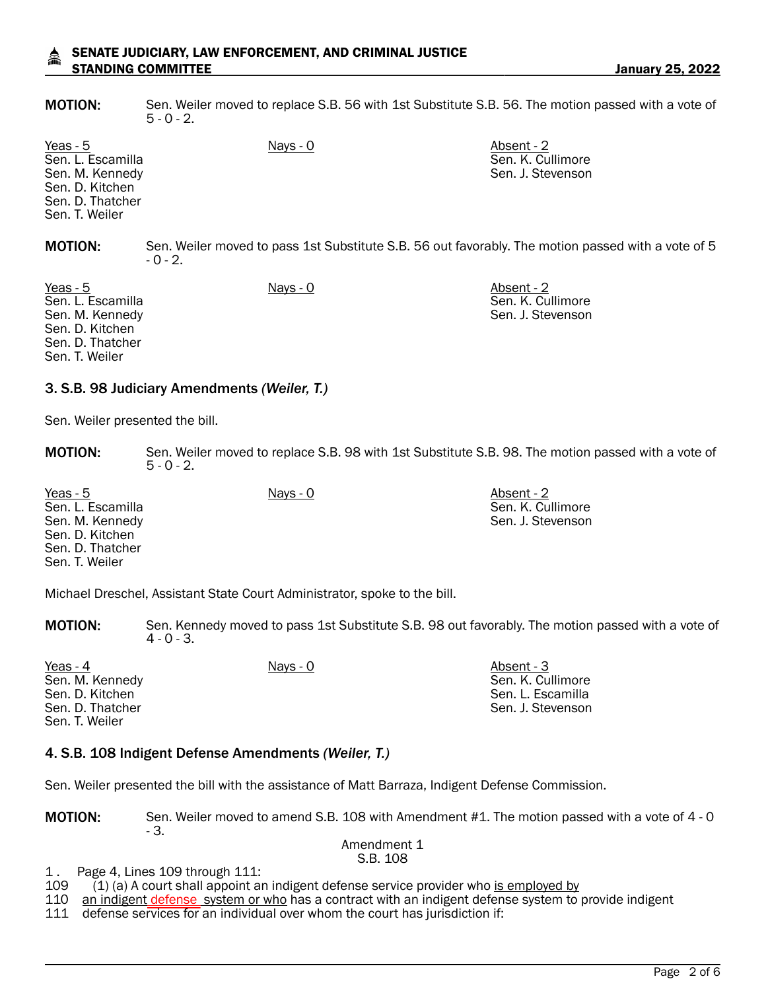#### SENATE JUDICIARY, LAW ENFORCEMENT, AND CRIMINAL JUSTICE STANDING COMMITTEE **STANDING COMMITTEE January 25, 2022**

MOTION: Sen. Weiler moved to replace S.B. 56 with 1st Substitute S.B. 56. The motion passed with a vote of  $5 - 0 - 2$ .

Yeas - 5 Nays - 0 Absent - 2 Sen. L. Escamilla Sen. M. Kennedy Sen. D. Kitchen Sen. D. Thatcher Sen. T. Weiler Sen. K. Cullimore Sen. J. Stevenson MOTION: Sen. Weiler moved to pass 1st Substitute S.B. 56 out favorably. The motion passed with a vote of 5  $-0 - 2.$ Yeas - 5 Nays - 0 Absent - 2

Sen. L. Escamilla Sen. M. Kennedy Sen. D. Kitchen Sen. D. Thatcher Sen. T. Weiler

Sen. K. Cullimore Sen. J. Stevenson

### 3. S.B. 98 Judiciary Amendments *(Weiler, T.)*

Sen. Weiler presented the bill.

**MOTION:** Sen. Weiler moved to replace S.B. 98 with 1st Substitute S.B. 98. The motion passed with a vote of  $5 - 0 - 2$ .

Yeas - 5 Nays - 0 Absent - 2 Sen. L. Escamilla Sen. M. Kennedy Sen. D. Kitchen Sen. D. Thatcher Sen. T. Weiler Sen. K. Cullimore Sen. J. Stevenson

Michael Dreschel, Assistant State Court Administrator, spoke to the bill.

MOTION: Sen. Kennedy moved to pass 1st Substitute S.B. 98 out favorably. The motion passed with a vote of  $4 - 0 - 3$ .

| Yeas - 4         | Nays - 0 | Absent - 3        |
|------------------|----------|-------------------|
| Sen. M. Kennedy  |          | Sen. K. Cullimore |
| Sen. D. Kitchen  |          | Sen. L. Escamilla |
| Sen. D. Thatcher |          | Sen. J. Stevenson |
| Sen. T. Weiler   |          |                   |

### 4. S.B. 108 Indigent Defense Amendments *(Weiler, T.)*

Sen. Weiler presented the bill with the assistance of Matt Barraza, Indigent Defense Commission.

MOTION: Sen. Weiler moved to amend S.B. 108 with Amendment #1. The motion passed with a vote of 4 - 0 - 3.

#### Amendment 1 S.B. 108

1. Page 4, Lines 109 through 111:<br>109 (1) (a) A court shall appoint ar

 $(1)$  (a) A court shall appoint an indigent defense service provider who is employed by

110 an indigent defense system or who has a contract with an indigent defense system to provide indigent

111 defense services for an individual over whom the court has jurisdiction if: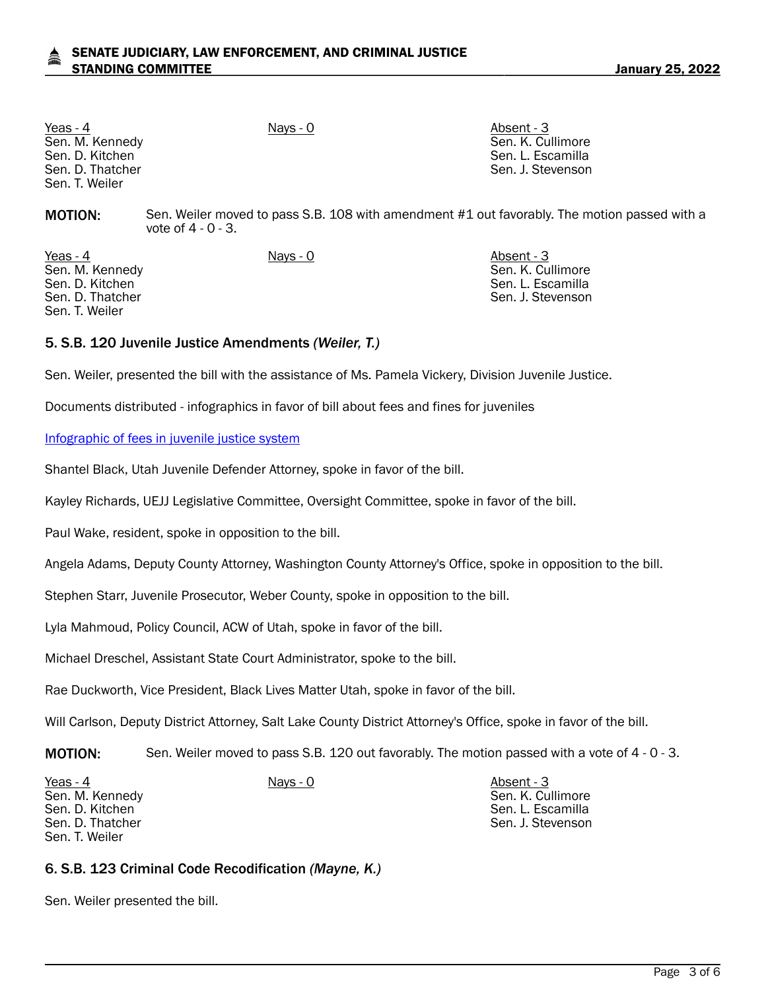Yeas - 4 Nays - 0 Nays - 0 Absent - 3 Sen. M. Kennedy Sen. D. Kitchen Sen. D. Thatcher Sen. T. Weiler

Sen. K. Cullimore Sen. L. Escamilla Sen. J. Stevenson

**MOTION:** Sen. Weiler moved to pass S.B. 108 with amendment #1 out favorably. The motion passed with a vote of 4 - 0 - 3.

Yeas - 4 Nays - 0 Nays - 0 Absent - 3 Sen. M. Kennedy Sen. D. Kitchen Sen. D. Thatcher Sen. T. Weiler

Sen. K. Cullimore Sen. L. Escamilla Sen. J. Stevenson

Sen. L. Escamilla Sen. J. Stevenson

# 5. S.B. 120 Juvenile Justice Amendments *(Weiler, T.)*

Sen. Weiler, presented the bill with the assistance of Ms. Pamela Vickery, Division Juvenile Justice.

Documents distributed - infographics in favor of bill about fees and fines for juveniles

#### [Infographic of fees in juvenile justice system](https://le.utah.gov/interim/2022/pdf/00000710.pdf)

Shantel Black, Utah Juvenile Defender Attorney, spoke in favor of the bill.

Kayley Richards, UEJJ Legislative Committee, Oversight Committee, spoke in favor of the bill.

Paul Wake, resident, spoke in opposition to the bill.

Angela Adams, Deputy County Attorney, Washington County Attorney's Office, spoke in opposition to the bill.

Stephen Starr, Juvenile Prosecutor, Weber County, spoke in opposition to the bill.

Lyla Mahmoud, Policy Council, ACW of Utah, spoke in favor of the bill.

Michael Dreschel, Assistant State Court Administrator, spoke to the bill.

Rae Duckworth, Vice President, Black Lives Matter Utah, spoke in favor of the bill.

Will Carlson, Deputy District Attorney, Salt Lake County District Attorney's Office, spoke in favor of the bill.

MOTION: Sen. Weiler moved to pass S.B. 120 out favorably. The motion passed with a vote of 4 - 0 - 3.

Sen. M. Kennedy Sen. D. Kitchen Sen. D. Thatcher Sen. T. Weiler

Yeas - 4 Nays - 0 Nays - 0 Absent - 3 Sen. K. Cullimore

6. S.B. 123 Criminal Code Recodification *(Mayne, K.)*

Sen. Weiler presented the bill.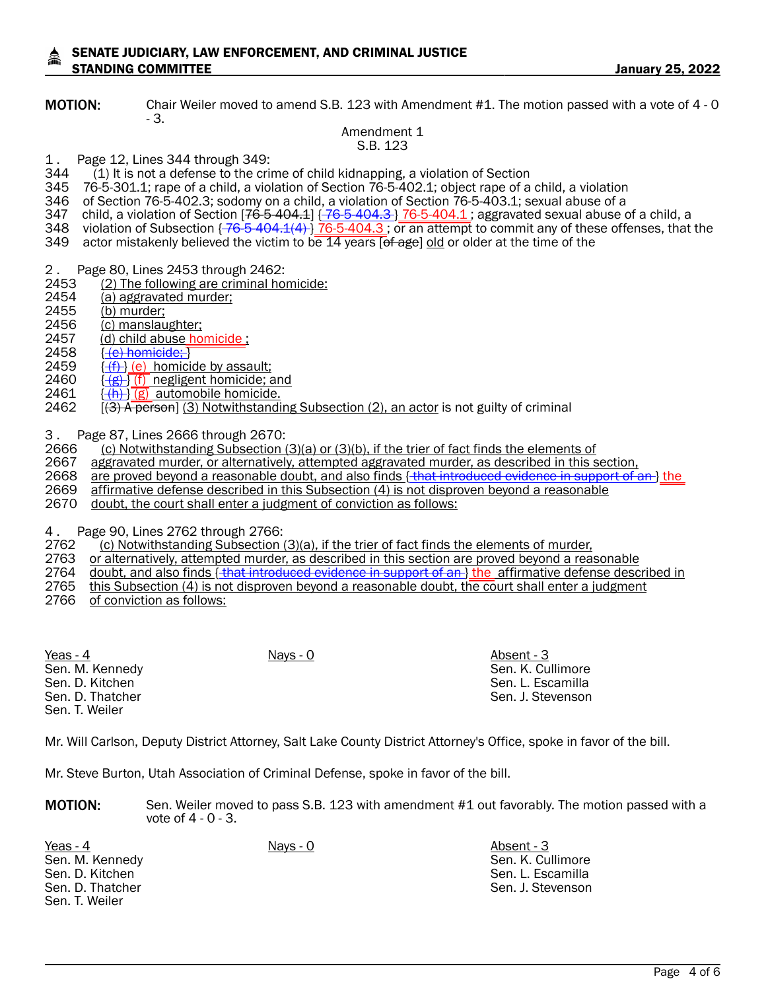#### SENATE JUDICIARY, LAW ENFORCEMENT, AND CRIMINAL JUSTICE STANDING COMMITTEE **STANDING COMMITTEE**

MOTION: Chair Weiler moved to amend S.B. 123 with Amendment #1. The motion passed with a vote of 4 - 0 - 3.

#### Amendment 1 S.B. 123

- 1. Page 12, Lines 344 through 349:<br>344 (1) It is not a defense to the crin
- $(1)$  It is not a defense to the crime of child kidnapping, a violation of Section
- 345 76-5-301.1; rape of a child, a violation of Section 76-5-402.1; object rape of a child, a violation
- 346 of Section 76-5-402.3; sodomy on a child, a violation of Section 76-5-403.1; sexual abuse of a
- 347  $\,$  child, a violation of Section [<del>76-5-404.1</del>] { <del>76-5-404.3 } 76-5-404.1 ;</del> aggravated sexual abuse of a child, a
- 348 violation of Subsection {  $76-5-404.1(4)$  }  $76-5-404.3$ ; or an attempt to commit any of these offenses, that the
- 349 actor mistakenly believed the victim to be 14 years [of age] old or older at the time of the
- 2. Page 80, Lines 2453 through 2462:<br>2453 (2) The following are criminal ho
- 2453 (2) The following are criminal homicide:<br>2454 (a) aggravated murder;
- 2454 (a) aggravated murder;<br>2455 (b) murder:
- 
- 2455 (b) murder;<br>2456 (c) manslau
- 2456 (c) manslaughter;<br>2457 (d) child abuse ho 2457 (d) child abuse homicide ;<br>2458 <del>(e)homicide: 】</del>
- 2458 { <u>(e) homicide; }</u><br>2459 { <del>(f) </del>} (e) homici
- 2459  $\frac{(\text{f}) (e)}{(\text{g}) (f)}$  homicide by assault;<br>2460  $\frac{(\text{g}) (f)}{(\text{g}) (f)}$  negligent homicide;
- 2460  $\frac{\{\{g\}\}{\{\{f\}\}}$  negligent homicide; and <br>2461  $\frac{\{\{f\}\}{\{f\}}$  automobile homicide.
- 2461  $\frac{\{(h)\}\{g\}}{\{2\}}$  automobile homicide.<br>2462  $\frac{\{(3) \text{ A person}\}(3) }{\{3\}}$  Notwithstandi
- $(3)$  A person] (3) Notwithstanding Subsection (2), an actor is not guilty of criminal

3. Page 87, Lines 2666 through 2670:<br>2666 (c) Notwithstanding Subsection (

- 2666  $\frac{1}{2666}$  (c) Notwithstanding Subsection (3)(a) or (3)(b), if the trier of fact finds the elements of 2667 aggravated murder, or alternatively, attempted aggravated murder, or alternatively, attempted aggravated m
- 2667 aggravated murder, or alternatively, attempted aggravated murder, as described in this section, 2668 are proved beyond a reasonable doubt, and also finds in the third and the section,
- 2668 are proved beyond a reasonable doubt, and also finds { that introduced evidence in support of an } the 2669 affirmative defense described in this Subsection (4) is not disproven beyond a reasonable
- affirmative defense described in this Subsection (4) is not disproven beyond a reasonable
- 2670 doubt, the court shall enter a judgment of conviction as follows:

4. Page 90, Lines 2762 through 2766:<br>2762 (c) Notwithstanding Subsection

 $(2)$  Notwithstanding Subsection  $(3)(a)$ , if the trier of fact finds the elements of murder,

- 2763 or alternatively, attempted murder, as described in this section are proved beyond a reasonable
- 2764 doubt, and also finds { that introduced evidence in support of an } the affirmative defense described in
- 2765 this Subsection (4) is not disproven beyond a reasonable doubt, the court shall enter a judgment
- 2766 of conviction as follows:

| Yeas - 4         | Nays - 0 | Absent - 3        |
|------------------|----------|-------------------|
| Sen. M. Kennedy  |          | Sen. K. Cullimore |
| Sen. D. Kitchen  |          | Sen. L. Escamilla |
| Sen. D. Thatcher |          | Sen. J. Stevenson |
| Sen. T. Weiler   |          |                   |

Mr. Will Carlson, Deputy District Attorney, Salt Lake County District Attorney's Office, spoke in favor of the bill.

Mr. Steve Burton, Utah Association of Criminal Defense, spoke in favor of the bill.

**MOTION:** Sen. Weiler moved to pass S.B. 123 with amendment #1 out favorably. The motion passed with a vote of 4 - 0 - 3.

Yeas - 4 Nays - 0 Nays - 0 Absent - 3 Sen. M. Kennedy Sen. D. Kitchen Sen. D. Thatcher Sen. T. Weiler

Sen. K. Cullimore Sen. L. Escamilla Sen. J. Stevenson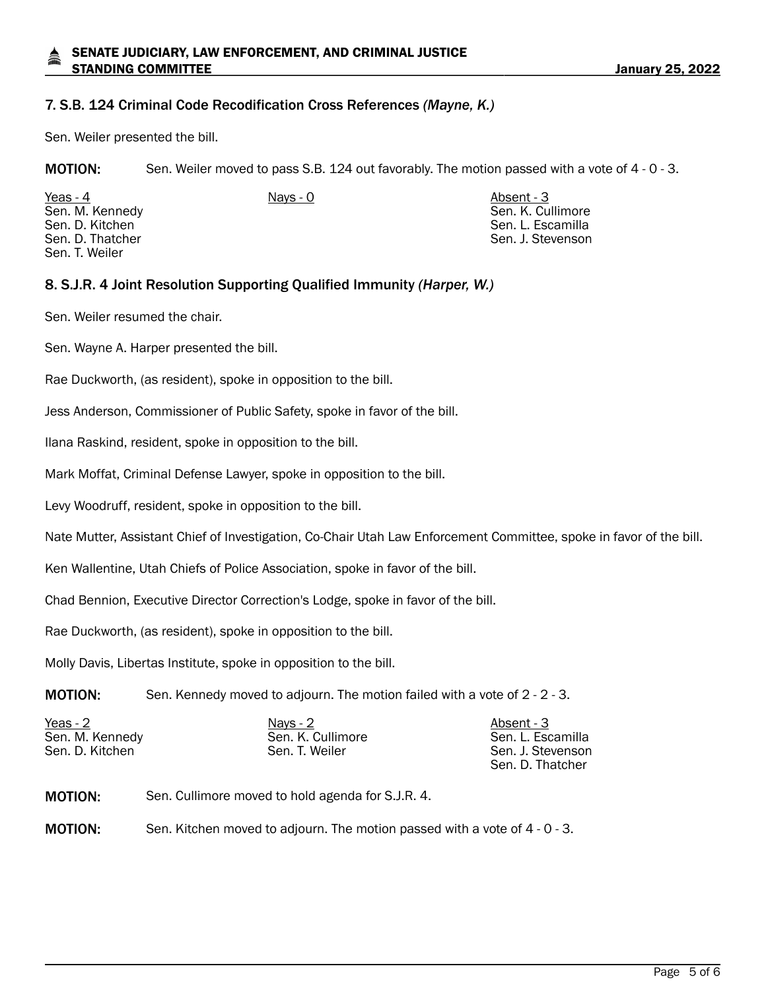# 7. S.B. 124 Criminal Code Recodification Cross References *(Mayne, K.)*

Sen. Weiler presented the bill.

MOTION: Sen. Weiler moved to pass S.B. 124 out favorably. The motion passed with a vote of 4 - 0 - 3.

| Yeas - 4         | Nays - 0 | Absent - 3        |
|------------------|----------|-------------------|
| Sen. M. Kennedy  |          | Sen. K. Cullimore |
| Sen. D. Kitchen  |          | Sen. L. Escamilla |
| Sen. D. Thatcher |          | Sen. J. Stevenson |
| Sen. T. Weiler   |          |                   |

### 8. S.J.R. 4 Joint Resolution Supporting Qualified Immunity *(Harper, W.)*

Sen. Weiler resumed the chair.

Sen. Wayne A. Harper presented the bill.

Rae Duckworth, (as resident), spoke in opposition to the bill.

Jess Anderson, Commissioner of Public Safety, spoke in favor of the bill.

Ilana Raskind, resident, spoke in opposition to the bill.

Mark Moffat, Criminal Defense Lawyer, spoke in opposition to the bill.

Levy Woodruff, resident, spoke in opposition to the bill.

Nate Mutter, Assistant Chief of Investigation, Co-Chair Utah Law Enforcement Committee, spoke in favor of the bill.

Ken Wallentine, Utah Chiefs of Police Association, spoke in favor of the bill.

Chad Bennion, Executive Director Correction's Lodge, spoke in favor of the bill.

Rae Duckworth, (as resident), spoke in opposition to the bill.

Molly Davis, Libertas Institute, spoke in opposition to the bill.

**MOTION:** Sen. Kennedy moved to adjourn. The motion failed with a vote of 2 - 2 - 3.

| Yeas - 2        | Nays - $2$        | Absent - 3        |
|-----------------|-------------------|-------------------|
| Sen. M. Kennedy | Sen. K. Cullimore | Sen. L. Escamilla |
| Sen. D. Kitchen | Sen. T. Weiler    | Sen. J. Stevenson |
|                 |                   | Sen. D. Thatcher  |

- MOTION: Sen. Cullimore moved to hold agenda for S.J.R. 4.
- **MOTION:** Sen. Kitchen moved to adjourn. The motion passed with a vote of 4 0 3.